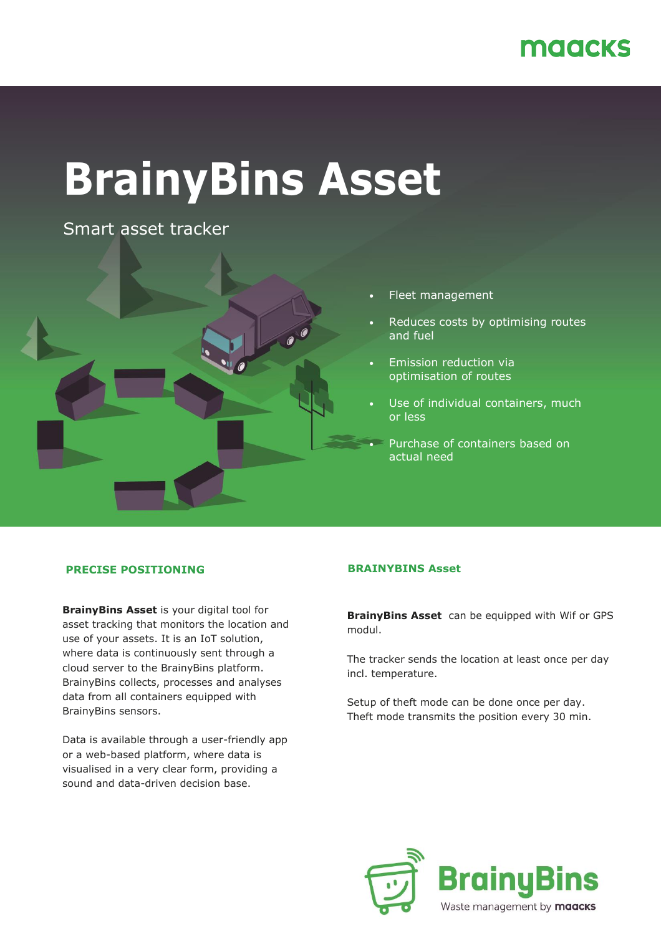## maacks

# **BrainyBins Asset**

Smart asset tracker



- Fleet management
- Reduces costs by optimising routes and fuel
- Emission reduction via optimisation of routes
- Use of individual containers, much or less
- Purchase of containers based on actual need

### **PRECISE POSITIONING**

**BrainyBins Asset** is your digital tool for asset tracking that monitors the location and use of your assets. It is an IoT solution, where data is continuously sent through a cloud server to the BrainyBins platform. BrainyBins collects, processes and analyses data from all containers equipped with BrainyBins sensors.

Data is available through a user-friendly app or a web-based platform, where data is visualised in a very clear form, providing a sound and data-driven decision base.

#### **BRAINYBINS Asset**

**BrainyBins Asset** can be equipped with Wif or GPS modul.

The tracker sends the location at least once per day incl. temperature.

Setup of theft mode can be done once per day. Theft mode transmits the position every 30 min.